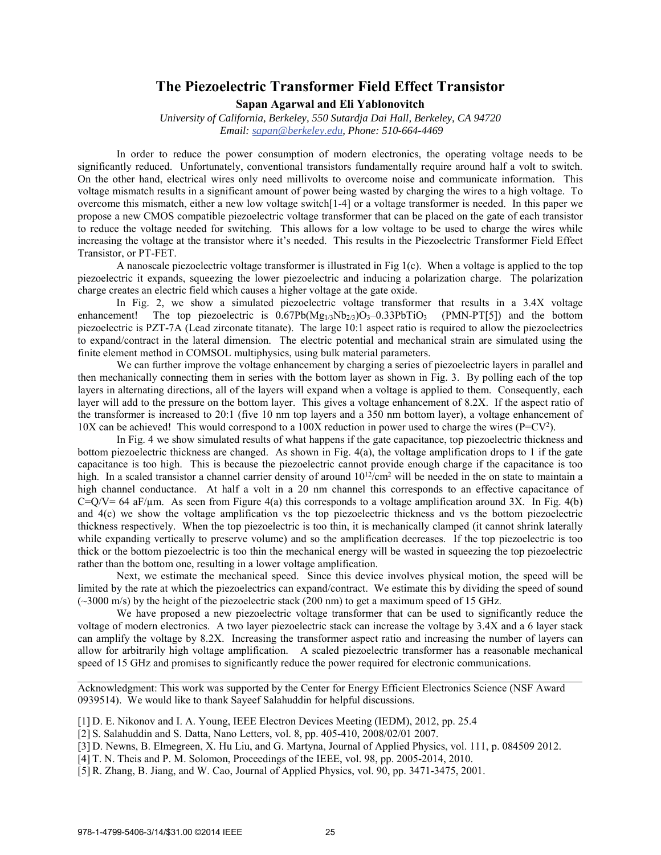## **The Piezoelectric Transformer Field Effect Transistor**

**Sapan Agarwal and Eli Yablonovitch** 

*University of California, Berkeley, 550 Sutardja Dai Hall, Berkeley, CA 94720 Email: sapan@berkeley.edu, Phone: 510-664-4469* 

In order to reduce the power consumption of modern electronics, the operating voltage needs to be significantly reduced. Unfortunately, conventional transistors fundamentally require around half a volt to switch. On the other hand, electrical wires only need millivolts to overcome noise and communicate information. This voltage mismatch results in a significant amount of power being wasted by charging the wires to a high voltage. To overcome this mismatch, either a new low voltage switch[1-4] or a voltage transformer is needed. In this paper we propose a new CMOS compatible piezoelectric voltage transformer that can be placed on the gate of each transistor to reduce the voltage needed for switching. This allows for a low voltage to be used to charge the wires while increasing the voltage at the transistor where it's needed. This results in the Piezoelectric Transformer Field Effect Transistor, or PT-FET.

A nanoscale piezoelectric voltage transformer is illustrated in Fig 1(c). When a voltage is applied to the top piezoelectric it expands, squeezing the lower piezoelectric and inducing a polarization charge. The polarization charge creates an electric field which causes a higher voltage at the gate oxide.

In Fig. 2, we show a simulated piezoelectric voltage transformer that results in a 3.4X voltage enhancement! The top piezoelectric is  $0.67Pb(Mg_{1/3}Nb_{2/3})O_3-0.33PbTiO_3$  (PMN-PT[5]) and the bottom piezoelectric is PZT-7A (Lead zirconate titanate). The large 10:1 aspect ratio is required to allow the piezoelectrics to expand/contract in the lateral dimension. The electric potential and mechanical strain are simulated using the finite element method in COMSOL multiphysics, using bulk material parameters.

We can further improve the voltage enhancement by charging a series of piezoelectric layers in parallel and then mechanically connecting them in series with the bottom layer as shown in Fig. 3. By polling each of the top layers in alternating directions, all of the layers will expand when a voltage is applied to them. Consequently, each layer will add to the pressure on the bottom layer. This gives a voltage enhancement of 8.2X. If the aspect ratio of the transformer is increased to 20:1 (five 10 nm top layers and a 350 nm bottom layer), a voltage enhancement of 10X can be achieved! This would correspond to a 100X reduction in power used to charge the wires (P=CV<sup>2</sup>).

In Fig. 4 we show simulated results of what happens if the gate capacitance, top piezoelectric thickness and bottom piezoelectric thickness are changed. As shown in Fig. 4(a), the voltage amplification drops to 1 if the gate capacitance is too high. This is because the piezoelectric cannot provide enough charge if the capacitance is too high. In a scaled transistor a channel carrier density of around  $10^{12}/\text{cm}^2$  will be needed in the on state to maintain a high channel conductance. At half a volt in a 20 nm channel this corresponds to an effective capacitance of  $C=Q/V= 64$  aF/μm. As seen from Figure 4(a) this corresponds to a voltage amplification around 3X. In Fig. 4(b) and 4(c) we show the voltage amplification vs the top piezoelectric thickness and vs the bottom piezoelectric thickness respectively. When the top piezoelectric is too thin, it is mechanically clamped (it cannot shrink laterally while expanding vertically to preserve volume) and so the amplification decreases. If the top piezoelectric is too thick or the bottom piezoelectric is too thin the mechanical energy will be wasted in squeezing the top piezoelectric rather than the bottom one, resulting in a lower voltage amplification.

Next, we estimate the mechanical speed. Since this device involves physical motion, the speed will be limited by the rate at which the piezoelectrics can expand/contract. We estimate this by dividing the speed of sound  $(-3000 \text{ m/s})$  by the height of the piezoelectric stack (200 nm) to get a maximum speed of 15 GHz.

We have proposed a new piezoelectric voltage transformer that can be used to significantly reduce the voltage of modern electronics. A two layer piezoelectric stack can increase the voltage by 3.4X and a 6 layer stack can amplify the voltage by 8.2X. Increasing the transformer aspect ratio and increasing the number of layers can allow for arbitrarily high voltage amplification. A scaled piezoelectric transformer has a reasonable mechanical speed of 15 GHz and promises to significantly reduce the power required for electronic communications.

Acknowledgment: This work was supported by the Center for Energy Efficient Electronics Science (NSF Award 0939514). We would like to thank Sayeef Salahuddin for helpful discussions.

[1] D. E. Nikonov and I. A. Young, IEEE Electron Devices Meeting (IEDM), 2012, pp. 25.4

[2] S. Salahuddin and S. Datta, Nano Letters, vol. 8, pp. 405-410, 2008/02/01 2007.

[3] D. Newns, B. Elmegreen, X. Hu Liu, and G. Martyna, Journal of Applied Physics, vol. 111, p. 084509 2012.

- [4] T. N. Theis and P. M. Solomon, Proceedings of the IEEE, vol. 98, pp. 2005-2014, 2010.
- [5] R. Zhang, B. Jiang, and W. Cao, Journal of Applied Physics, vol. 90, pp. 3471-3475, 2001.